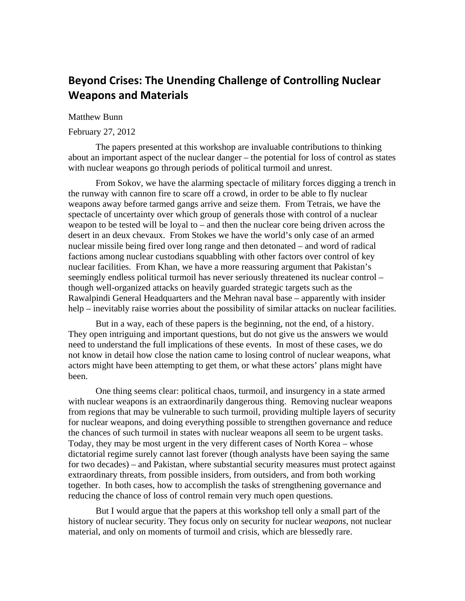# **Beyond Crises: The Unending Challenge of Controlling Nuclear Weapons and Materials**

## Matthew Bunn

#### February 27, 2012

The papers presented at this workshop are invaluable contributions to thinking about an important aspect of the nuclear danger – the potential for loss of control as states with nuclear weapons go through periods of political turmoil and unrest.

From Sokov, we have the alarming spectacle of military forces digging a trench in the runway with cannon fire to scare off a crowd, in order to be able to fly nuclear weapons away before tarmed gangs arrive and seize them. From Tetrais, we have the spectacle of uncertainty over which group of generals those with control of a nuclear weapon to be tested will be loyal to  $-$  and then the nuclear core being driven across the desert in an deux chevaux. From Stokes we have the world's only case of an armed nuclear missile being fired over long range and then detonated – and word of radical factions among nuclear custodians squabbling with other factors over control of key nuclear facilities. From Khan, we have a more reassuring argument that Pakistan's seemingly endless political turmoil has never seriously threatened its nuclear control – though well-organized attacks on heavily guarded strategic targets such as the Rawalpindi General Headquarters and the Mehran naval base – apparently with insider help – inevitably raise worries about the possibility of similar attacks on nuclear facilities.

But in a way, each of these papers is the beginning, not the end, of a history. They open intriguing and important questions, but do not give us the answers we would need to understand the full implications of these events. In most of these cases, we do not know in detail how close the nation came to losing control of nuclear weapons, what actors might have been attempting to get them, or what these actors' plans might have been.

One thing seems clear: political chaos, turmoil, and insurgency in a state armed with nuclear weapons is an extraordinarily dangerous thing. Removing nuclear weapons from regions that may be vulnerable to such turmoil, providing multiple layers of security for nuclear weapons, and doing everything possible to strengthen governance and reduce the chances of such turmoil in states with nuclear weapons all seem to be urgent tasks. Today, they may be most urgent in the very different cases of North Korea – whose dictatorial regime surely cannot last forever (though analysts have been saying the same for two decades) – and Pakistan, where substantial security measures must protect against extraordinary threats, from possible insiders, from outsiders, and from both working together. In both cases, how to accomplish the tasks of strengthening governance and reducing the chance of loss of control remain very much open questions.

But I would argue that the papers at this workshop tell only a small part of the history of nuclear security. They focus only on security for nuclear *weapons*, not nuclear material, and only on moments of turmoil and crisis, which are blessedly rare.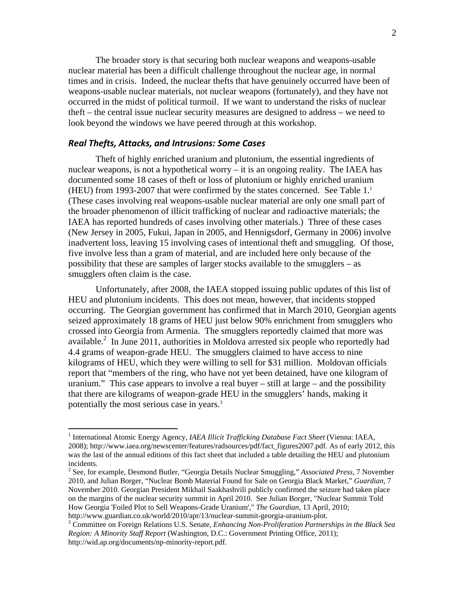The broader story is that securing both nuclear weapons and weapons-usable nuclear material has been a difficult challenge throughout the nuclear age, in normal times and in crisis. Indeed, the nuclear thefts that have genuinely occurred have been of weapons-usable nuclear materials, not nuclear weapons (fortunately), and they have not occurred in the midst of political turmoil. If we want to understand the risks of nuclear theft – the central issue nuclear security measures are designed to address – we need to look beyond the windows we have peered through at this workshop.

# *Real Thefts, Attacks, and Intrusions: Some Cases*

 $\overline{a}$ 

Theft of highly enriched uranium and plutonium, the essential ingredients of nuclear weapons, is not a hypothetical worry – it is an ongoing reality. The IAEA has documented some 18 cases of theft or loss of plutonium or highly enriched uranium (HEU) from 1993-2007 that were confirmed by the states concerned. See Table  $1<sup>1</sup>$ (These cases involving real weapons-usable nuclear material are only one small part of the broader phenomenon of illicit trafficking of nuclear and radioactive materials; the IAEA has reported hundreds of cases involving other materials.) Three of these cases (New Jersey in 2005, Fukui, Japan in 2005, and Hennigsdorf, Germany in 2006) involve inadvertent loss, leaving 15 involving cases of intentional theft and smuggling. Of those, five involve less than a gram of material, and are included here only because of the possibility that these are samples of larger stocks available to the smugglers – as smugglers often claim is the case.

Unfortunately, after 2008, the IAEA stopped issuing public updates of this list of HEU and plutonium incidents. This does not mean, however, that incidents stopped occurring. The Georgian government has confirmed that in March 2010, Georgian agents seized approximately 18 grams of HEU just below 90% enrichment from smugglers who crossed into Georgia from Armenia. The smugglers reportedly claimed that more was available.<sup>2</sup> In June 2011, authorities in Moldova arrested six people who reportedly had 4.4 grams of weapon-grade HEU. The smugglers claimed to have access to nine kilograms of HEU, which they were willing to sell for \$31 million. Moldovan officials report that "members of the ring, who have not yet been detained, have one kilogram of uranium." This case appears to involve a real buyer – still at large – and the possibility that there are kilograms of weapon-grade HEU in the smugglers' hands, making it potentially the most serious case in years.<sup>3</sup>

<sup>&</sup>lt;sup>1</sup> International Atomic Energy Agency, *IAEA Illicit Trafficking Database Fact Sheet* (Vienna: IAEA, 2008); http://www.iaea.org/newscenter/features/radsources/pdf/fact\_figures2007.pdf. As of early 2012, this was the last of the annual editions of this fact sheet that included a table detailing the HEU and plutonium incidents.

<sup>2</sup> See, for example, Desmond Butler, "Georgia Details Nuclear Smuggling," *Associated Press,* 7 November 2010, and Julian Borger, "Nuclear Bomb Material Found for Sale on Georgia Black Market," *Guardian,* 7 November 2010. Georgian President Mikhail Saakhashvili publicly confirmed the seizure had taken place on the margins of the nuclear security summit in April 2010. See Julian Borger, "Nuclear Summit Told How Georgia 'Foiled Plot to Sell Weapons-Grade Uranium'," *The Guardian*, 13 April, 2010; http://www.guardian.co.uk/world/2010/apr/13/nuclear-summit-georgia-uranium-plot. 3

Committee on Foreign Relations U.S. Senate, *Enhancing Non-Proliferation Partnerships in the Black Sea Region: A Minority Staff Report* (Washington, D.C.: Government Printing Office, 2011); http://wid.ap.org/documents/np-minority-report.pdf.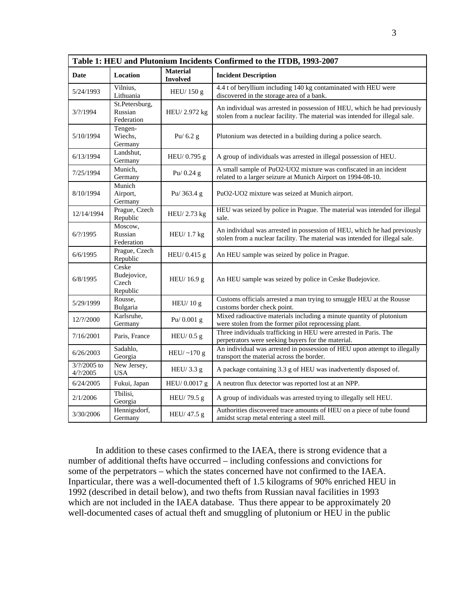| Table 1: HEU and Plutonium Incidents Confirmed to the ITDB, 1993-2007 |                                           |                                    |                                                                                                                                                         |
|-----------------------------------------------------------------------|-------------------------------------------|------------------------------------|---------------------------------------------------------------------------------------------------------------------------------------------------------|
| <b>Date</b>                                                           | Location                                  | <b>Material</b><br><b>Involved</b> | <b>Incident Description</b>                                                                                                                             |
| 5/24/1993                                                             | Vilnius,<br>Lithuania                     | HEU/150 g                          | 4.4 t of beryllium including 140 kg contaminated with HEU were<br>discovered in the storage area of a bank.                                             |
| $3/?\frac{1994}{ }$                                                   | St.Petersburg,<br>Russian<br>Federation   | HEU/2.972 kg                       | An individual was arrested in possession of HEU, which he had previously<br>stolen from a nuclear facility. The material was intended for illegal sale. |
| 5/10/1994                                                             | Tengen-<br>Wiechs,<br>Germany             | Pu/ $6.2$ g                        | Plutonium was detected in a building during a police search.                                                                                            |
| 6/13/1994                                                             | Landshut,<br>Germany                      | HEU/ 0.795 g                       | A group of individuals was arrested in illegal possession of HEU.                                                                                       |
| 7/25/1994                                                             | Munich,<br>Germany                        | Pu/ $0.24$ g                       | A small sample of PuO2-UO2 mixture was confiscated in an incident<br>related to a larger seizure at Munich Airport on 1994-08-10.                       |
| 8/10/1994                                                             | Munich<br>Airport,<br>Germany             | Pu/ 363.4 g                        | PuO2-UO2 mixture was seized at Munich airport.                                                                                                          |
| 12/14/1994                                                            | Prague, Czech<br>Republic                 | HEU/2.73 kg                        | HEU was seized by police in Prague. The material was intended for illegal<br>sale.                                                                      |
| $6/?\frac{1995}{ }$                                                   | Moscow,<br>Russian<br>Federation          | HEU/1.7 kg                         | An individual was arrested in possession of HEU, which he had previously<br>stolen from a nuclear facility. The material was intended for illegal sale. |
| 6/6/1995                                                              | Prague, Czech<br>Republic                 | HEU/0.415 g                        | An HEU sample was seized by police in Prague.                                                                                                           |
| 6/8/1995                                                              | Ceske<br>Budejovice,<br>Czech<br>Republic | HEU/16.9 g                         | An HEU sample was seized by police in Ceske Budejovice.                                                                                                 |
| 5/29/1999                                                             | Rousse,<br>Bulgaria                       | HEU/ $10 g$                        | Customs officials arrested a man trying to smuggle HEU at the Rousse<br>customs border check point.                                                     |
| 12/?/2000                                                             | Karlsruhe,<br>Germany                     | Pu/ $0.001$ g                      | Mixed radioactive materials including a minute quantity of plutonium<br>were stolen from the former pilot reprocessing plant.                           |
| 7/16/2001                                                             | Paris, France                             | HEU/ $0.5$ g                       | Three individuals trafficking in HEU were arrested in Paris. The<br>perpetrators were seeking buyers for the material.                                  |
| 6/26/2003                                                             | Sadahlo,<br>Georgia                       | HEU/ $\sim$ 170 g                  | An individual was arrested in possession of HEU upon attempt to illegally<br>transport the material across the border.                                  |
| $3/2/2005$ to<br>$4/?\!2005$                                          | New Jersey,<br><b>USA</b>                 | HEU/3.3 g                          | A package containing 3.3 g of HEU was inadvertently disposed of.                                                                                        |
| 6/24/2005                                                             | Fukui, Japan                              | HEU/0.0017g                        | A neutron flux detector was reported lost at an NPP.                                                                                                    |
| 2/1/2006                                                              | Tbilisi,<br>Georgia                       | HEU/79.5 g                         | A group of individuals was arrested trying to illegally sell HEU.                                                                                       |
| 3/30/2006                                                             | Hennigsdorf,<br>Germany                   | HEU/ 47.5 g                        | Authorities discovered trace amounts of HEU on a piece of tube found<br>amidst scrap metal entering a steel mill.                                       |

In addition to these cases confirmed to the IAEA, there is strong evidence that a number of additional thefts have occurred – including confessions and convictions for some of the perpetrators – which the states concerned have not confirmed to the IAEA. Inparticular, there was a well-documented theft of 1.5 kilograms of 90% enriched HEU in 1992 (described in detail below), and two thefts from Russian naval facilities in 1993 which are not included in the IAEA database. Thus there appear to be approximately 20 well-documented cases of actual theft and smuggling of plutonium or HEU in the public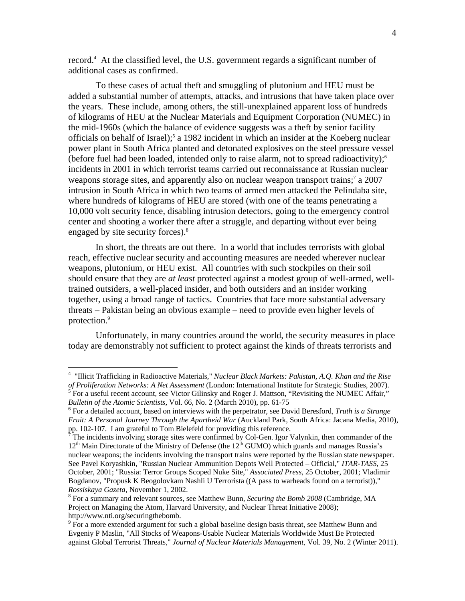record.<sup>4</sup> At the classified level, the U.S. government regards a significant number of additional cases as confirmed.

To these cases of actual theft and smuggling of plutonium and HEU must be added a substantial number of attempts, attacks, and intrusions that have taken place over the years. These include, among others, the still-unexplained apparent loss of hundreds of kilograms of HEU at the Nuclear Materials and Equipment Corporation (NUMEC) in the mid-1960s (which the balance of evidence suggests was a theft by senior facility officials on behalf of Israel);<sup>5</sup> a 1982 incident in which an insider at the Koeberg nuclear power plant in South Africa planted and detonated explosives on the steel pressure vessel (before fuel had been loaded, intended only to raise alarm, not to spread radioactivity);6 incidents in 2001 in which terrorist teams carried out reconnaissance at Russian nuclear weapons storage sites, and apparently also on nuclear weapon transport trains;<sup>7</sup> a 2007 intrusion in South Africa in which two teams of armed men attacked the Pelindaba site, where hundreds of kilograms of HEU are stored (with one of the teams penetrating a 10,000 volt security fence, disabling intrusion detectors, going to the emergency control center and shooting a worker there after a struggle, and departing without ever being engaged by site security forces).<sup>8</sup>

In short, the threats are out there. In a world that includes terrorists with global reach, effective nuclear security and accounting measures are needed wherever nuclear weapons, plutonium, or HEU exist. All countries with such stockpiles on their soil should ensure that they are *at least* protected against a modest group of well-armed, welltrained outsiders, a well-placed insider, and both outsiders and an insider working together, using a broad range of tactics. Countries that face more substantial adversary threats – Pakistan being an obvious example – need to provide even higher levels of protection.<sup>9</sup>

Unfortunately, in many countries around the world, the security measures in place today are demonstrably not sufficient to protect against the kinds of threats terrorists and

<sup>4</sup> "Illicit Trafficking in Radioactive Materials," *Nuclear Black Markets: Pakistan, A.Q. Khan and the Rise of Proliferation Networks: A Net Assessment* (London: International Institute for Strategic Studies, 2007).

 $<sup>5</sup>$  For a useful recent account, see Victor Gilinsky and Roger J. Mattson, "Revisiting the NUMEC Affair,"</sup> *Bulletin of the Atomic Scientists, Vol. 66, No. 2 (March 2010), pp. 61-75* 

For a detailed account, based on interviews with the perpetrator, see David Beresford, *Truth is a Strange Fruit: A Personal Journey Through the Apartheid War (Auckland Park, South Africa: Jacana Media, 2010),* pp. 102-107. I am grateful to Tom Bielefeld for providing this reference. 7

The incidents involving storage sites were confirmed by Col-Gen. Igor Valynkin, then commander of the  $12<sup>th</sup>$  Main Directorate of the Ministry of Defense (the  $12<sup>th</sup>$  GUMO) which guards and manages Russia's nuclear weapons; the incidents involving the transport trains were reported by the Russian state newspaper. See Pavel Koryashkin, "Russian Nuclear Ammunition Depots Well Protected – Official," *ITAR-TASS*, 25 October, 2001; "Russia: Terror Groups Scoped Nuke Site," *Associated Press*, 25 October, 2001; Vladimir Bogdanov, "Propusk K Beogolovkam Nashli U Terrorista ((A pass to warheads found on a terrorist))," *Rossiskaya Gazeta*, November 1, 2002. 8

For a summary and relevant sources, see Matthew Bunn, *Securing the Bomb 2008* (Cambridge, MA Project on Managing the Atom, Harvard University, and Nuclear Threat Initiative 2008); http://www.nti.org/securingthebomb.

 $9\degree$  For a more extended argument for such a global baseline design basis threat, see Matthew Bunn and Evgeniy P Maslin, "All Stocks of Weapons-Usable Nuclear Materials Worldwide Must Be Protected against Global Terrorist Threats," *Journal of Nuclear Materials Management*, Vol. 39, No. 2 (Winter 2011).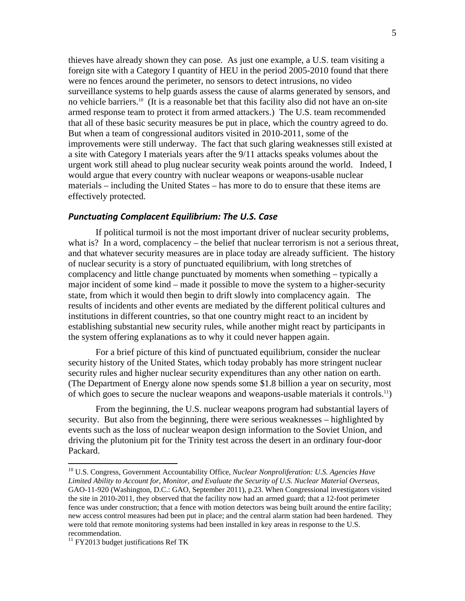thieves have already shown they can pose. As just one example, a U.S. team visiting a foreign site with a Category I quantity of HEU in the period 2005-2010 found that there were no fences around the perimeter, no sensors to detect intrusions, no video surveillance systems to help guards assess the cause of alarms generated by sensors, and no vehicle barriers.<sup>10</sup> (It is a reasonable bet that this facility also did not have an on-site armed response team to protect it from armed attackers.) The U.S. team recommended that all of these basic security measures be put in place, which the country agreed to do. But when a team of congressional auditors visited in 2010-2011, some of the improvements were still underway. The fact that such glaring weaknesses still existed at a site with Category I materials years after the 9/11 attacks speaks volumes about the urgent work still ahead to plug nuclear security weak points around the world. Indeed, I would argue that every country with nuclear weapons or weapons-usable nuclear materials – including the United States – has more to do to ensure that these items are effectively protected.

#### *Punctuating Complacent Equilibrium: The U.S. Case*

If political turmoil is not the most important driver of nuclear security problems, what is? In a word, complacency – the belief that nuclear terrorism is not a serious threat, and that whatever security measures are in place today are already sufficient. The history of nuclear security is a story of punctuated equilibrium, with long stretches of complacency and little change punctuated by moments when something – typically a major incident of some kind – made it possible to move the system to a higher-security state, from which it would then begin to drift slowly into complacency again. The results of incidents and other events are mediated by the different political cultures and institutions in different countries, so that one country might react to an incident by establishing substantial new security rules, while another might react by participants in the system offering explanations as to why it could never happen again.

For a brief picture of this kind of punctuated equilibrium, consider the nuclear security history of the United States, which today probably has more stringent nuclear security rules and higher nuclear security expenditures than any other nation on earth. (The Department of Energy alone now spends some \$1.8 billion a year on security, most of which goes to secure the nuclear weapons and weapons-usable materials it controls.<sup>11</sup>)

From the beginning, the U.S. nuclear weapons program had substantial layers of security. But also from the beginning, there were serious weaknesses – highlighted by events such as the loss of nuclear weapon design information to the Soviet Union, and driving the plutonium pit for the Trinity test across the desert in an ordinary four-door Packard.

1

<sup>10</sup> U.S. Congress, Government Accountability Office, *Nuclear Nonproliferation: U.S. Agencies Have Limited Ability to Account for, Monitor, and Evaluate the Security of U.S. Nuclear Material Overseas,*  GAO-11-920 (Washington, D.C.: GAO, September 2011), p.23. When Congressional investigators visited the site in 2010-2011, they observed that the facility now had an armed guard; that a 12-foot perimeter fence was under construction; that a fence with motion detectors was being built around the entire facility; new access control measures had been put in place; and the central alarm station had been hardened. They were told that remote monitoring systems had been installed in key areas in response to the U.S. recommendation.

 $11$  FY2013 budget justifications Ref TK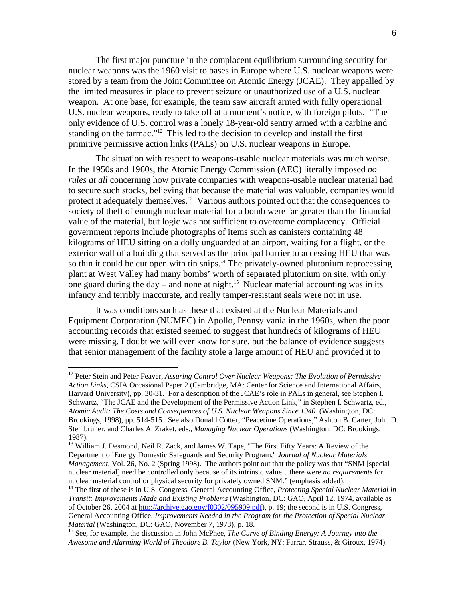The first major puncture in the complacent equilibrium surrounding security for nuclear weapons was the 1960 visit to bases in Europe where U.S. nuclear weapons were stored by a team from the Joint Committee on Atomic Energy (JCAE). They appalled by the limited measures in place to prevent seizure or unauthorized use of a U.S. nuclear weapon. At one base, for example, the team saw aircraft armed with fully operational U.S. nuclear weapons, ready to take off at a moment's notice, with foreign pilots. "The only evidence of U.S. control was a lonely 18-year-old sentry armed with a carbine and standing on the tarmac."<sup>12</sup> This led to the decision to develop and install the first primitive permissive action links (PALs) on U.S. nuclear weapons in Europe.

The situation with respect to weapons-usable nuclear materials was much worse. In the 1950s and 1960s, the Atomic Energy Commission (AEC) literally imposed *no rules at all* concerning how private companies with weapons-usable nuclear material had to secure such stocks, believing that because the material was valuable, companies would protect it adequately themselves.<sup>13</sup> Various authors pointed out that the consequences to society of theft of enough nuclear material for a bomb were far greater than the financial value of the material, but logic was not sufficient to overcome complacency. Official government reports include photographs of items such as canisters containing 48 kilograms of HEU sitting on a dolly unguarded at an airport, waiting for a flight, or the exterior wall of a building that served as the principal barrier to accessing HEU that was so thin it could be cut open with tin snips.<sup>14</sup> The privately-owned plutonium reprocessing plant at West Valley had many bombs' worth of separated plutonium on site, with only one guard during the day – and none at night.<sup>15</sup> Nuclear material accounting was in its infancy and terribly inaccurate, and really tamper-resistant seals were not in use.

It was conditions such as these that existed at the Nuclear Materials and Equipment Corporation (NUMEC) in Apollo, Pennsylvania in the 1960s, when the poor accounting records that existed seemed to suggest that hundreds of kilograms of HEU were missing. I doubt we will ever know for sure, but the balance of evidence suggests that senior management of the facility stole a large amount of HEU and provided it to

<sup>&</sup>lt;sup>12</sup> Peter Stein and Peter Feaver, *Assuring Control Over Nuclear Weapons: The Evolution of Permissive Action Links,* CSIA Occasional Paper 2 (Cambridge, MA: Center for Science and International Affairs, Harvard University), pp. 30-31. For a description of the JCAE's role in PALs in general, see Stephen I. Schwartz, "The JCAE and the Development of the Permissive Action Link," in Stephen I. Schwartz, ed., *Atomic Audit: The Costs and Consequences of U.S. Nuclear Weapons Since 1940* (Washington, DC: Brookings, 1998), pp. 514-515. See also Donald Cotter, "Peacetime Operations," Ashton B. Carter, John D. Steinbruner, and Charles A. Zraket, eds., *Managing Nuclear Operations* (Washington, DC: Brookings, 1987).

<sup>&</sup>lt;sup>13</sup> William J. Desmond, Neil R. Zack, and James W. Tape, "The First Fifty Years: A Review of the Department of Energy Domestic Safeguards and Security Program," *Journal of Nuclear Materials Management*, Vol. 26, No. 2 (Spring 1998). The authors point out that the policy was that "SNM [special nuclear material] need be controlled only because of its intrinsic value…there were *no requirements* for nuclear material control or physical security for privately owned SNM." (emphasis added).

<sup>&</sup>lt;sup>14</sup> The first of these is in U.S. Congress, General Accounting Office, *Protecting Special Nuclear Material in Transit: Improvements Made and Existing Problems* (Washington, DC: GAO, April 12, 1974, available as of October 26, 2004 at http://archive.gao.gov/f0302/095909.pdf), p. 19; the second is in U.S. Congress, General Accounting Office, *Improvements Needed in the Program for the Protection of Special Nuclear Material* (Washington, DC: GAO, November 7, 1973), p. 18.<br><sup>15</sup> See, for example, the discussion in John McPhee, *The Curve of Binding Energy: A Journey into the* 

*Awesome and Alarming World of Theodore B. Taylor* (New York, NY: Farrar, Strauss, & Giroux, 1974).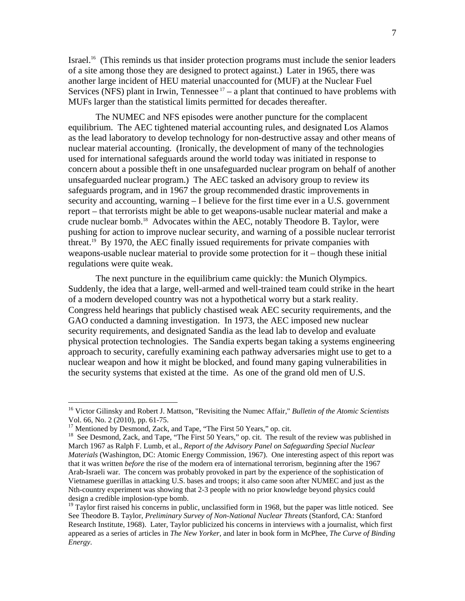Israel.<sup>16</sup> (This reminds us that insider protection programs must include the senior leaders of a site among those they are designed to protect against.) Later in 1965, there was another large incident of HEU material unaccounted for (MUF) at the Nuclear Fuel Services (NFS) plant in Irwin, Tennessee  $17 - a$  plant that continued to have problems with MUFs larger than the statistical limits permitted for decades thereafter.

The NUMEC and NFS episodes were another puncture for the complacent equilibrium. The AEC tightened material accounting rules, and designated Los Alamos as the lead laboratory to develop technology for non-destructive assay and other means of nuclear material accounting. (Ironically, the development of many of the technologies used for international safeguards around the world today was initiated in response to concern about a possible theft in one unsafeguarded nuclear program on behalf of another unsafeguarded nuclear program.) The AEC tasked an advisory group to review its safeguards program, and in 1967 the group recommended drastic improvements in security and accounting, warning – I believe for the first time ever in a U.S. government report – that terrorists might be able to get weapons-usable nuclear material and make a crude nuclear bomb.<sup>18</sup> Advocates within the AEC, notably Theodore B. Taylor, were pushing for action to improve nuclear security, and warning of a possible nuclear terrorist threat.<sup>19</sup> By 1970, the AEC finally issued requirements for private companies with weapons-usable nuclear material to provide some protection for it – though these initial regulations were quite weak.

The next puncture in the equilibrium came quickly: the Munich Olympics. Suddenly, the idea that a large, well-armed and well-trained team could strike in the heart of a modern developed country was not a hypothetical worry but a stark reality. Congress held hearings that publicly chastised weak AEC security requirements, and the GAO conducted a damning investigation. In 1973, the AEC imposed new nuclear security requirements, and designated Sandia as the lead lab to develop and evaluate physical protection technologies. The Sandia experts began taking a systems engineering approach to security, carefully examining each pathway adversaries might use to get to a nuclear weapon and how it might be blocked, and found many gaping vulnerabilities in the security systems that existed at the time. As one of the grand old men of U.S.

1

<sup>16</sup> Victor Gilinsky and Robert J. Mattson, "Revisiting the Numec Affair," *Bulletin of the Atomic Scientists* Vol. 66, No. 2 (2010), pp. 61-75.

<sup>&</sup>lt;sup>17</sup> Mentioned by Desmond, Zack, and Tape, "The First 50 Years," op. cit.

<sup>&</sup>lt;sup>18</sup> See Desmond, Zack, and Tape, "The First 50 Years," op. cit. The result of the review was published in March 1967 as Ralph F. Lumb, et al., *Report of the Advisory Panel on Safeguarding Special Nuclear Materials* (Washington, DC: Atomic Energy Commission, 1967). One interesting aspect of this report was that it was written *before* the rise of the modern era of international terrorism, beginning after the 1967 Arab-Israeli war. The concern was probably provoked in part by the experience of the sophistication of Vietnamese guerillas in attacking U.S. bases and troops; it also came soon after NUMEC and just as the Nth-country experiment was showing that 2-3 people with no prior knowledge beyond physics could design a credible implosion-type bomb.

<sup>&</sup>lt;sup>19</sup> Taylor first raised his concerns in public, unclassified form in 1968, but the paper was little noticed. See See Theodore B. Taylor, *Preliminary Survey of Non-National Nuclear Threats* (Stanford, CA: Stanford Research Institute, 1968). Later, Taylor publicized his concerns in interviews with a journalist, which first appeared as a series of articles in *The New Yorker,* and later in book form in McPhee, *The Curve of Binding Energy*.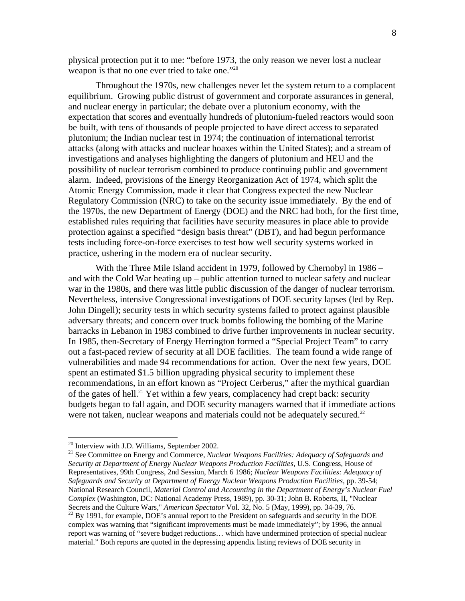physical protection put it to me: "before 1973, the only reason we never lost a nuclear weapon is that no one ever tried to take one."20

Throughout the 1970s, new challenges never let the system return to a complacent equilibrium. Growing public distrust of government and corporate assurances in general, and nuclear energy in particular; the debate over a plutonium economy, with the expectation that scores and eventually hundreds of plutonium-fueled reactors would soon be built, with tens of thousands of people projected to have direct access to separated plutonium; the Indian nuclear test in 1974; the continuation of international terrorist attacks (along with attacks and nuclear hoaxes within the United States); and a stream of investigations and analyses highlighting the dangers of plutonium and HEU and the possibility of nuclear terrorism combined to produce continuing public and government alarm. Indeed, provisions of the Energy Reorganization Act of 1974, which split the Atomic Energy Commission, made it clear that Congress expected the new Nuclear Regulatory Commission (NRC) to take on the security issue immediately. By the end of the 1970s, the new Department of Energy (DOE) and the NRC had both, for the first time, established rules requiring that facilities have security measures in place able to provide protection against a specified "design basis threat" (DBT), and had begun performance tests including force-on-force exercises to test how well security systems worked in practice, ushering in the modern era of nuclear security.

With the Three Mile Island accident in 1979, followed by Chernobyl in 1986 – and with the Cold War heating up – public attention turned to nuclear safety and nuclear war in the 1980s, and there was little public discussion of the danger of nuclear terrorism. Nevertheless, intensive Congressional investigations of DOE security lapses (led by Rep. John Dingell); security tests in which security systems failed to protect against plausible adversary threats; and concern over truck bombs following the bombing of the Marine barracks in Lebanon in 1983 combined to drive further improvements in nuclear security. In 1985, then-Secretary of Energy Herrington formed a "Special Project Team" to carry out a fast-paced review of security at all DOE facilities. The team found a wide range of vulnerabilities and made 94 recommendations for action. Over the next few years, DOE spent an estimated \$1.5 billion upgrading physical security to implement these recommendations, in an effort known as "Project Cerberus," after the mythical guardian of the gates of hell.<sup>21</sup> Yet within a few years, complacency had crept back: security budgets began to fall again, and DOE security managers warned that if immediate actions were not taken, nuclear weapons and materials could not be adequately secured.<sup>22</sup>

<sup>20</sup> Interview with J.D. Williams, September 2002.

<sup>21</sup> See Committee on Energy and Commerce, *Nuclear Weapons Facilities: Adequacy of Safeguards and Security at Department of Energy Nuclear Weapons Production Facilities*, U.S. Congress, House of Representatives, 99th Congress, 2nd Session, March 6 1986; *Nuclear Weapons Facilities: Adequacy of Safeguards and Security at Department of Energy Nuclear Weapons Production Facilities*, pp. 39-54; National Research Council, *Material Control and Accounting in the Department of Energy's Nuclear Fuel Complex* (Washington, DC: National Academy Press, 1989), pp. 30-31; John B. Roberts, II, "Nuclear Secrets and the Culture Wars," *American Spectator* Vol. 32, No. 5 (May, 1999), pp. 34-39, 76. <sup>22</sup> By 1991, for example, DOE's annual report to the President on safeguards and security in the DOE

complex was warning that "significant improvements must be made immediately"; by 1996, the annual report was warning of "severe budget reductions… which have undermined protection of special nuclear material." Both reports are quoted in the depressing appendix listing reviews of DOE security in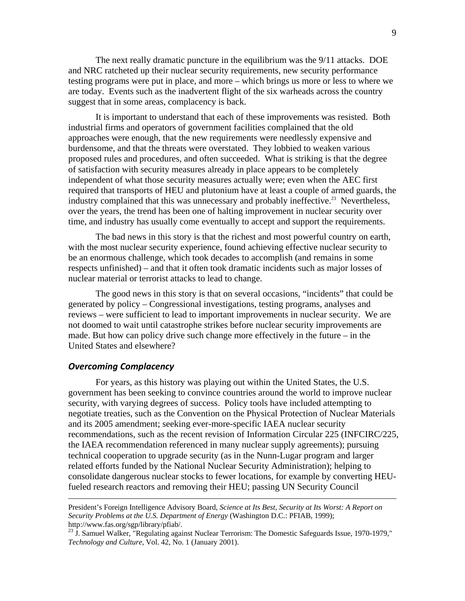The next really dramatic puncture in the equilibrium was the 9/11 attacks. DOE and NRC ratcheted up their nuclear security requirements, new security performance testing programs were put in place, and more – which brings us more or less to where we are today. Events such as the inadvertent flight of the six warheads across the country suggest that in some areas, complacency is back.

It is important to understand that each of these improvements was resisted. Both industrial firms and operators of government facilities complained that the old approaches were enough, that the new requirements were needlessly expensive and burdensome, and that the threats were overstated. They lobbied to weaken various proposed rules and procedures, and often succeeded. What is striking is that the degree of satisfaction with security measures already in place appears to be completely independent of what those security measures actually were; even when the AEC first required that transports of HEU and plutonium have at least a couple of armed guards, the industry complained that this was unnecessary and probably ineffective.<sup>23</sup> Nevertheless, over the years, the trend has been one of halting improvement in nuclear security over time, and industry has usually come eventually to accept and support the requirements.

The bad news in this story is that the richest and most powerful country on earth, with the most nuclear security experience, found achieving effective nuclear security to be an enormous challenge, which took decades to accomplish (and remains in some respects unfinished) – and that it often took dramatic incidents such as major losses of nuclear material or terrorist attacks to lead to change.

The good news in this story is that on several occasions, "incidents" that could be generated by policy – Congressional investigations, testing programs, analyses and reviews – were sufficient to lead to important improvements in nuclear security. We are not doomed to wait until catastrophe strikes before nuclear security improvements are made. But how can policy drive such change more effectively in the future – in the United States and elsewhere?

## *Overcoming Complacency*

For years, as this history was playing out within the United States, the U.S. government has been seeking to convince countries around the world to improve nuclear security, with varying degrees of success. Policy tools have included attempting to negotiate treaties, such as the Convention on the Physical Protection of Nuclear Materials and its 2005 amendment; seeking ever-more-specific IAEA nuclear security recommendations, such as the recent revision of Information Circular 225 (INFCIRC/225, the IAEA recommendation referenced in many nuclear supply agreements); pursuing technical cooperation to upgrade security (as in the Nunn-Lugar program and larger related efforts funded by the National Nuclear Security Administration); helping to consolidate dangerous nuclear stocks to fewer locations, for example by converting HEUfueled research reactors and removing their HEU; passing UN Security Council

President's Foreign Intelligence Advisory Board, *Science at Its Best, Security at Its Worst: A Report on Security Problems at the U.S. Department of Energy* (Washington D.C.: PFIAB, 1999); http://www.fas.org/sgp/library/pfiab/.

<sup>&</sup>lt;sup>23</sup> J. Samuel Walker, "Regulating against Nuclear Terrorism: The Domestic Safeguards Issue, 1970-1979," *Technology and Culture*, Vol. 42, No. 1 (January 2001).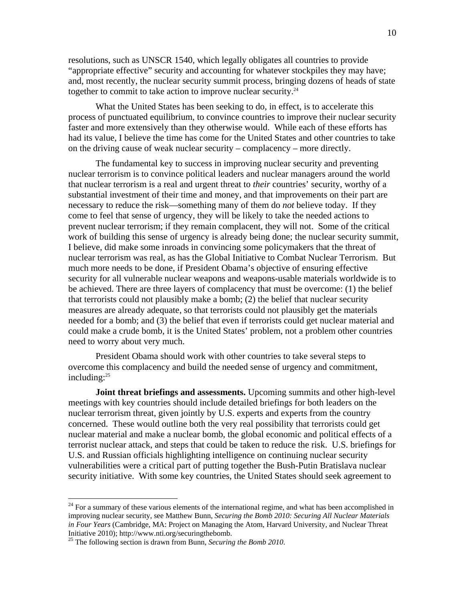resolutions, such as UNSCR 1540, which legally obligates all countries to provide "appropriate effective" security and accounting for whatever stockpiles they may have; and, most recently, the nuclear security summit process, bringing dozens of heads of state together to commit to take action to improve nuclear security.<sup>24</sup>

What the United States has been seeking to do, in effect, is to accelerate this process of punctuated equilibrium, to convince countries to improve their nuclear security faster and more extensively than they otherwise would. While each of these efforts has had its value, I believe the time has come for the United States and other countries to take on the driving cause of weak nuclear security – complacency – more directly.

The fundamental key to success in improving nuclear security and preventing nuclear terrorism is to convince political leaders and nuclear managers around the world that nuclear terrorism is a real and urgent threat to *their* countries' security, worthy of a substantial investment of their time and money, and that improvements on their part are necessary to reduce the risk—something many of them do *not* believe today. If they come to feel that sense of urgency, they will be likely to take the needed actions to prevent nuclear terrorism; if they remain complacent, they will not. Some of the critical work of building this sense of urgency is already being done; the nuclear security summit, I believe, did make some inroads in convincing some policymakers that the threat of nuclear terrorism was real, as has the Global Initiative to Combat Nuclear Terrorism. But much more needs to be done, if President Obama's objective of ensuring effective security for all vulnerable nuclear weapons and weapons-usable materials worldwide is to be achieved. There are three layers of complacency that must be overcome: (1) the belief that terrorists could not plausibly make a bomb; (2) the belief that nuclear security measures are already adequate, so that terrorists could not plausibly get the materials needed for a bomb; and (3) the belief that even if terrorists could get nuclear material and could make a crude bomb, it is the United States' problem, not a problem other countries need to worry about very much.

President Obama should work with other countries to take several steps to overcome this complacency and build the needed sense of urgency and commitment, including:25

**Joint threat briefings and assessments.** Upcoming summits and other high-level meetings with key countries should include detailed briefings for both leaders on the nuclear terrorism threat, given jointly by U.S. experts and experts from the country concerned. These would outline both the very real possibility that terrorists could get nuclear material and make a nuclear bomb, the global economic and political effects of a terrorist nuclear attack, and steps that could be taken to reduce the risk. U.S. briefings for U.S. and Russian officials highlighting intelligence on continuing nuclear security vulnerabilities were a critical part of putting together the Bush-Putin Bratislava nuclear security initiative. With some key countries, the United States should seek agreement to

 $24$  For a summary of these various elements of the international regime, and what has been accomplished in improving nuclear security, see Matthew Bunn, *Securing the Bomb 2010: Securing All Nuclear Materials in Four Years* (Cambridge, MA: Project on Managing the Atom, Harvard University, and Nuclear Threat Initiative 2010); http://www.nti.org/securingthebomb.

<sup>25</sup> The following section is drawn from Bunn, *Securing the Bomb 2010*.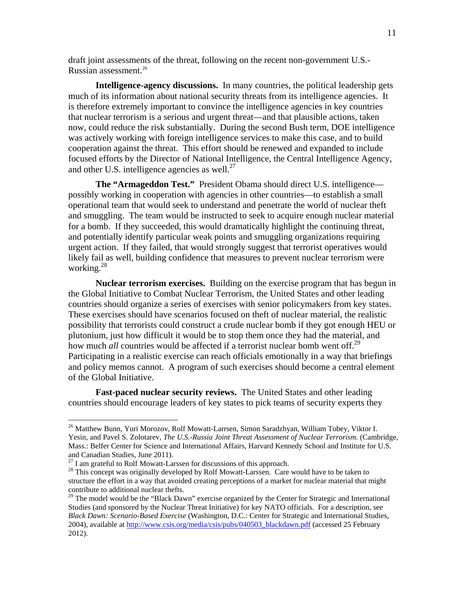draft joint assessments of the threat, following on the recent non-government U.S.- Russian assessment.26

**Intelligence-agency discussions.** In many countries, the political leadership gets much of its information about national security threats from its intelligence agencies. It is therefore extremely important to convince the intelligence agencies in key countries that nuclear terrorism is a serious and urgent threat—and that plausible actions, taken now, could reduce the risk substantially. During the second Bush term, DOE intelligence was actively working with foreign intelligence services to make this case, and to build cooperation against the threat. This effort should be renewed and expanded to include focused efforts by the Director of National Intelligence, the Central Intelligence Agency, and other U.S. intelligence agencies as well. $^{27}$ 

**The "Armageddon Test."** President Obama should direct U.S. intelligence possibly working in cooperation with agencies in other countries—to establish a small operational team that would seek to understand and penetrate the world of nuclear theft and smuggling. The team would be instructed to seek to acquire enough nuclear material for a bomb. If they succeeded, this would dramatically highlight the continuing threat, and potentially identify particular weak points and smuggling organizations requiring urgent action. If they failed, that would strongly suggest that terrorist operatives would likely fail as well, building confidence that measures to prevent nuclear terrorism were working.28

**Nuclear terrorism exercises.** Building on the exercise program that has begun in the Global Initiative to Combat Nuclear Terrorism, the United States and other leading countries should organize a series of exercises with senior policymakers from key states. These exercises should have scenarios focused on theft of nuclear material, the realistic possibility that terrorists could construct a crude nuclear bomb if they got enough HEU or plutonium, just how difficult it would be to stop them once they had the material, and how much *all* countries would be affected if a terrorist nuclear bomb went off.<sup>29</sup> Participating in a realistic exercise can reach officials emotionally in a way that briefings and policy memos cannot. A program of such exercises should become a central element of the Global Initiative.

**Fast-paced nuclear security reviews.** The United States and other leading countries should encourage leaders of key states to pick teams of security experts they

<sup>&</sup>lt;sup>26</sup> Matthew Bunn, Yuri Morozov, Rolf Mowatt-Larrsen, Simon Saradzhyan, William Tobey, Viktor I. Yesin, and Pavel S. Zolotarev, *The U.S.-Russia Joint Threat Assessment of Nuclear Terrorism.* (Cambridge, Mass.: Belfer Center for Science and International Affairs, Harvard Kennedy School and Institute for U.S. and Canadian Studies, June 2011).<br> $^{27}$  I am grateful to Rolf Mowatt-Larssen for discussions of this approach.

 $28$  This concept was originally developed by Rolf Mowatt-Larssen. Care would have to be taken to structure the effort in a way that avoided creating perceptions of a market for nuclear material that might contribute to additional nuclear thefts.

<sup>&</sup>lt;sup>29</sup> The model would be the "Black Dawn" exercise organized by the Center for Strategic and International Studies (and sponsored by the Nuclear Threat Initiative) for key NATO officials. For a description, see *Black Dawn: Scenario-Based Exercise* (Washington, D.C.: Center for Strategic and International Studies, 2004), available at http://www.csis.org/media/csis/pubs/040503\_blackdawn.pdf (accessed 25 February 2012).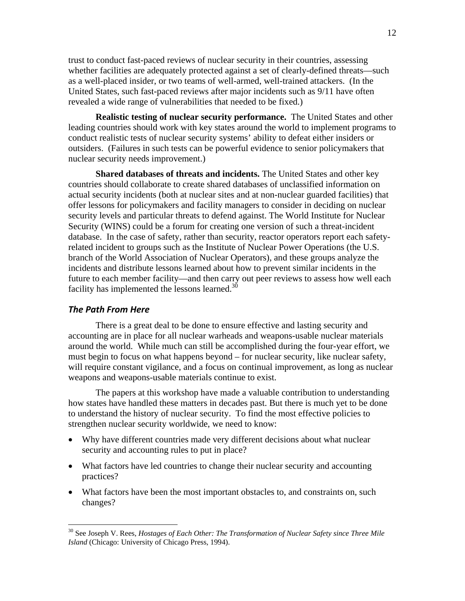trust to conduct fast-paced reviews of nuclear security in their countries, assessing whether facilities are adequately protected against a set of clearly-defined threats—such as a well-placed insider, or two teams of well-armed, well-trained attackers. (In the United States, such fast-paced reviews after major incidents such as 9/11 have often revealed a wide range of vulnerabilities that needed to be fixed.)

**Realistic testing of nuclear security performance.** The United States and other leading countries should work with key states around the world to implement programs to conduct realistic tests of nuclear security systems' ability to defeat either insiders or outsiders. (Failures in such tests can be powerful evidence to senior policymakers that nuclear security needs improvement.)

**Shared databases of threats and incidents.** The United States and other key countries should collaborate to create shared databases of unclassified information on actual security incidents (both at nuclear sites and at non-nuclear guarded facilities) that offer lessons for policymakers and facility managers to consider in deciding on nuclear security levels and particular threats to defend against. The World Institute for Nuclear Security (WINS) could be a forum for creating one version of such a threat-incident database. In the case of safety, rather than security, reactor operators report each safetyrelated incident to groups such as the Institute of Nuclear Power Operations (the U.S. branch of the World Association of Nuclear Operators), and these groups analyze the incidents and distribute lessons learned about how to prevent similar incidents in the future to each member facility—and then carry out peer reviews to assess how well each facility has implemented the lessons learned.<sup>30</sup>

## *The Path From Here*

1

There is a great deal to be done to ensure effective and lasting security and accounting are in place for all nuclear warheads and weapons-usable nuclear materials around the world. While much can still be accomplished during the four-year effort, we must begin to focus on what happens beyond – for nuclear security, like nuclear safety, will require constant vigilance, and a focus on continual improvement, as long as nuclear weapons and weapons-usable materials continue to exist.

The papers at this workshop have made a valuable contribution to understanding how states have handled these matters in decades past. But there is much yet to be done to understand the history of nuclear security. To find the most effective policies to strengthen nuclear security worldwide, we need to know:

- Why have different countries made very different decisions about what nuclear security and accounting rules to put in place?
- What factors have led countries to change their nuclear security and accounting practices?
- What factors have been the most important obstacles to, and constraints on, such changes?

<sup>&</sup>lt;sup>30</sup> See Joseph V. Rees, *Hostages of Each Other: The Transformation of Nuclear Safety since Three Mile Island* (Chicago: University of Chicago Press, 1994).